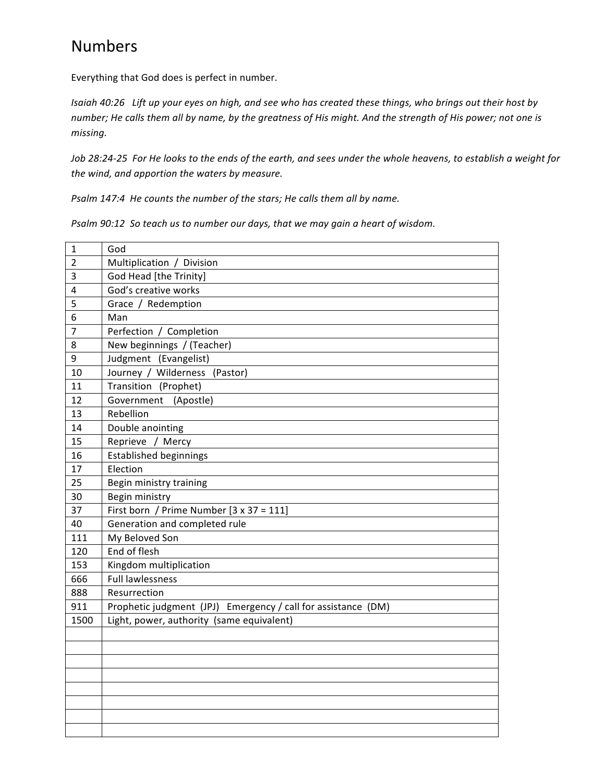## Numbers

Everything that God does is perfect in number.

*Isaiah 40:26 Lift up your eyes on high, and see who has created these things, who brings out their host by number; He calls them all by name, by the greatness of His might. And the strength of His power; not one is missing.*

*Job 28:24-25 For He looks to the ends of the earth, and sees under the whole heavens, to establish a weight for* the wind, and apportion the waters by measure.

*Psalm 147:4 He counts the number of the stars; He calls them all by name.* 

*Psalm 90:12 So teach us to number our days, that we may gain a heart of wisdom.* 

| $\mathbf 1$    | God                                                           |  |
|----------------|---------------------------------------------------------------|--|
| $\overline{2}$ | Multiplication / Division                                     |  |
| 3              | God Head [the Trinity]                                        |  |
| $\overline{4}$ | God's creative works                                          |  |
| 5              | Grace / Redemption                                            |  |
| 6              | Man                                                           |  |
| $\overline{7}$ | Perfection / Completion                                       |  |
| 8              | New beginnings / (Teacher)                                    |  |
| 9              | Judgment (Evangelist)                                         |  |
| 10             | Journey / Wilderness (Pastor)                                 |  |
| 11             | Transition (Prophet)                                          |  |
| 12             | Government<br>(Apostle)                                       |  |
| 13             | Rebellion                                                     |  |
| 14             | Double anointing                                              |  |
| 15             | Reprieve / Mercy                                              |  |
| 16             | <b>Established beginnings</b>                                 |  |
| 17             | Election                                                      |  |
| 25             | Begin ministry training                                       |  |
| 30             | Begin ministry                                                |  |
| 37             | First born / Prime Number [3 x 37 = 111]                      |  |
| 40             | Generation and completed rule                                 |  |
| 111            | My Beloved Son                                                |  |
| 120            | End of flesh                                                  |  |
| 153            | Kingdom multiplication                                        |  |
| 666            | <b>Full lawlessness</b>                                       |  |
| 888            | Resurrection                                                  |  |
| 911            | Prophetic judgment (JPJ) Emergency / call for assistance (DM) |  |
| 1500           | Light, power, authority (same equivalent)                     |  |
|                |                                                               |  |
|                |                                                               |  |
|                |                                                               |  |
|                |                                                               |  |
|                |                                                               |  |
|                |                                                               |  |
|                |                                                               |  |
|                |                                                               |  |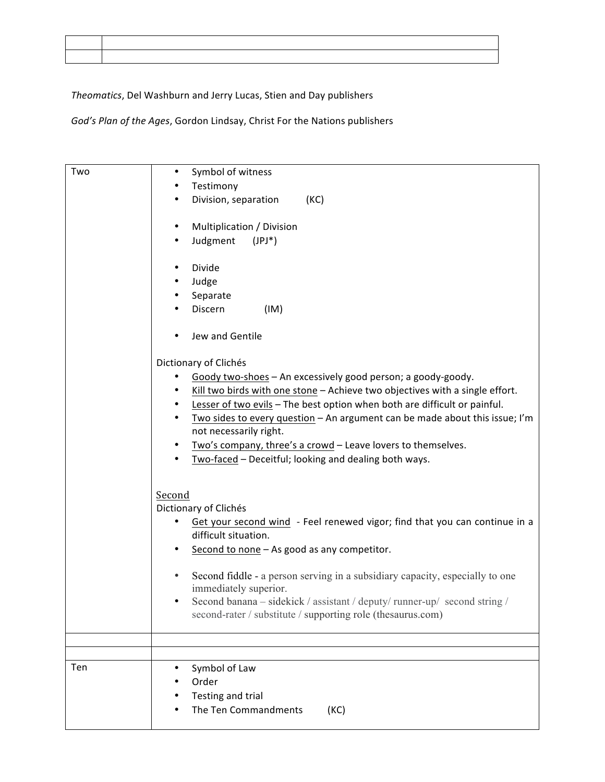*Theomatics*, Del Washburn and Jerry Lucas, Stien and Day publishers

God's Plan of the Ages, Gordon Lindsay, Christ For the Nations publishers

| Two | Symbol of witness<br>٠<br>Testimony<br>$\bullet$<br>(KC)<br>Division, separation<br>$\bullet$<br>Multiplication / Division<br>$\bullet$<br>Judgment<br>$(JPI^*)$<br>$\bullet$<br>Divide<br>$\bullet$<br>Judge<br>$\bullet$<br>Separate<br>٠<br>Discern<br>(IM)<br>Jew and Gentile<br>Dictionary of Clichés<br>Goody two-shoes - An excessively good person; a goody-goody.<br>٠<br>Kill two birds with one stone - Achieve two objectives with a single effort.<br>٠<br>Lesser of two evils - The best option when both are difficult or painful.<br>$\bullet$<br>Two sides to every question - An argument can be made about this issue; I'm<br>$\bullet$<br>not necessarily right.<br>Two's company, three's a crowd - Leave lovers to themselves.<br>$\bullet$<br>Two-faced - Deceitful; looking and dealing both ways.<br>$\bullet$ |
|-----|-----------------------------------------------------------------------------------------------------------------------------------------------------------------------------------------------------------------------------------------------------------------------------------------------------------------------------------------------------------------------------------------------------------------------------------------------------------------------------------------------------------------------------------------------------------------------------------------------------------------------------------------------------------------------------------------------------------------------------------------------------------------------------------------------------------------------------------------|
|     | Second<br>Dictionary of Clichés<br>Get your second wind - Feel renewed vigor; find that you can continue in a<br>difficult situation.<br>Second to none - As good as any competitor.<br>$\bullet$<br>Second fiddle - a person serving in a subsidiary capacity, especially to one<br>$\bullet$<br>immediately superior.<br>Second banana – sidekick / assistant / deputy/ runner-up/ second string /<br>second-rater / substitute / supporting role (thesaurus.com)                                                                                                                                                                                                                                                                                                                                                                     |
| Ten | Symbol of Law<br>Order<br>Testing and trial<br>The Ten Commandments<br>(KC)                                                                                                                                                                                                                                                                                                                                                                                                                                                                                                                                                                                                                                                                                                                                                             |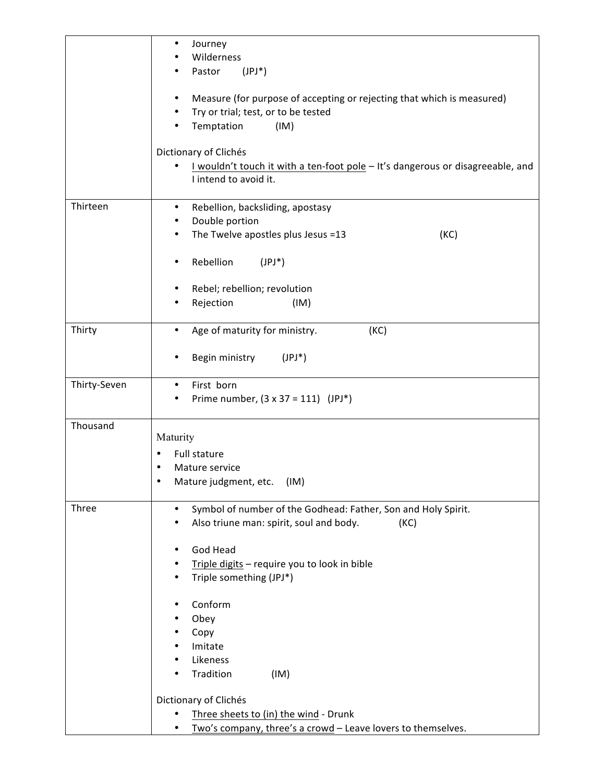|              | Journey<br>٠<br>Wilderness                                                                                                                            |
|--------------|-------------------------------------------------------------------------------------------------------------------------------------------------------|
|              | Pastor<br>$(JPI^*)$                                                                                                                                   |
|              | Measure (for purpose of accepting or rejecting that which is measured)<br>٠<br>Try or trial; test, or to be tested<br>$\bullet$<br>Temptation<br>(IM) |
|              | Dictionary of Clichés<br>I wouldn't touch it with a ten-foot pole - It's dangerous or disagreeable, and<br>I intend to avoid it.                      |
| Thirteen     | Rebellion, backsliding, apostasy<br>$\bullet$<br>Double portion<br>٠<br>The Twelve apostles plus Jesus =13<br>(KC)                                    |
|              | Rebellion<br>$(JPI^*)$<br>٠                                                                                                                           |
|              | Rebel; rebellion; revolution<br>٠<br>Rejection<br>(IM)                                                                                                |
| Thirty       | Age of maturity for ministry.<br>(KC)<br>$\bullet$                                                                                                    |
|              | Begin ministry<br>$(JPI^*)$<br>٠                                                                                                                      |
| Thirty-Seven | First born<br>$\bullet$<br>Prime number, $(3 \times 37 = 111)$ (JPJ*)                                                                                 |
| Thousand     | Maturity<br>Full stature<br>٠<br>Mature service<br>$\bullet$<br>$\bullet$<br>Mature judgment, etc.<br>(IM)                                            |
| Three        | Symbol of number of the Godhead: Father, Son and Holy Spirit.<br>$\bullet$<br>Also triune man: spirit, soul and body.<br>(KC)                         |
|              | God Head<br>$\bullet$<br>Triple digits - require you to look in bible<br>$\bullet$<br>Triple something (JPJ*)<br>$\bullet$                            |
|              | Conform<br>٠<br>Obey<br>Copy<br>٠<br>Imitate<br>Likeness<br>٠                                                                                         |
|              | Tradition<br>(IM)<br>٠<br>Dictionary of Clichés                                                                                                       |
|              | Three sheets to (in) the wind - Drunk<br>٠<br>Two's company, three's a crowd - Leave lovers to themselves.<br>٠                                       |